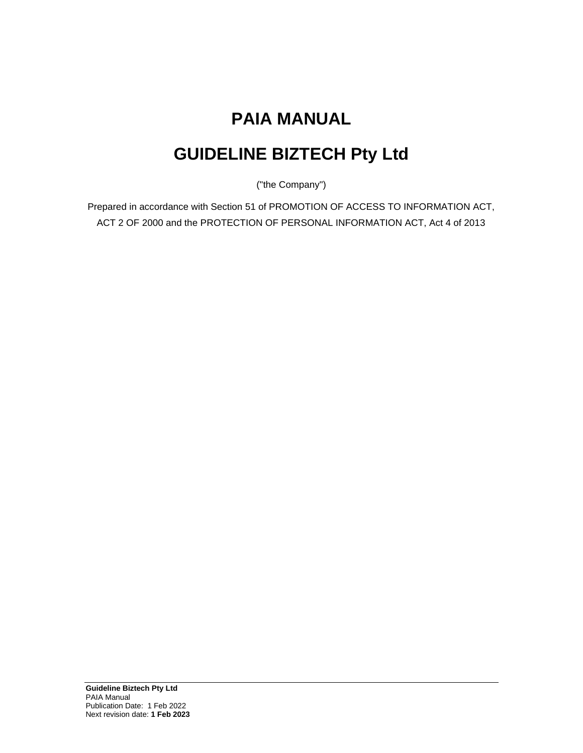# **PAIA MANUAL**

# **GUIDELINE BIZTECH Pty Ltd**

("the Company")

Prepared in accordance with Section 51 of PROMOTION OF ACCESS TO INFORMATION ACT, ACT 2 OF 2000 and the PROTECTION OF PERSONAL INFORMATION ACT, Act 4 of 2013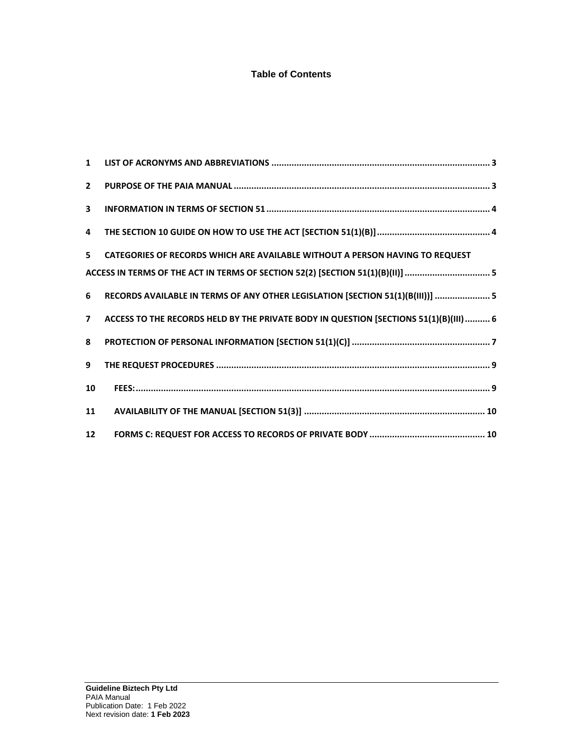## **Table of Contents**

| $2^{\circ}$             |                                                                                       |
|-------------------------|---------------------------------------------------------------------------------------|
| $\overline{\mathbf{3}}$ |                                                                                       |
| 4                       |                                                                                       |
| 5                       | CATEGORIES OF RECORDS WHICH ARE AVAILABLE WITHOUT A PERSON HAVING TO REQUEST          |
|                         | ACCESS IN TERMS OF THE ACT IN TERMS OF SECTION 52(2) [SECTION 51(1)(B)(II)] 5         |
| 6                       | RECORDS AVAILABLE IN TERMS OF ANY OTHER LEGISLATION [SECTION 51(1)(B(III))]  5        |
| $\overline{7}$          | ACCESS TO THE RECORDS HELD BY THE PRIVATE BODY IN QUESTION [SECTIONS 51(1)(B)(III)  6 |
| 8                       |                                                                                       |
| 9                       |                                                                                       |
| 10                      |                                                                                       |
| 11                      |                                                                                       |
| 12 <sup>2</sup>         |                                                                                       |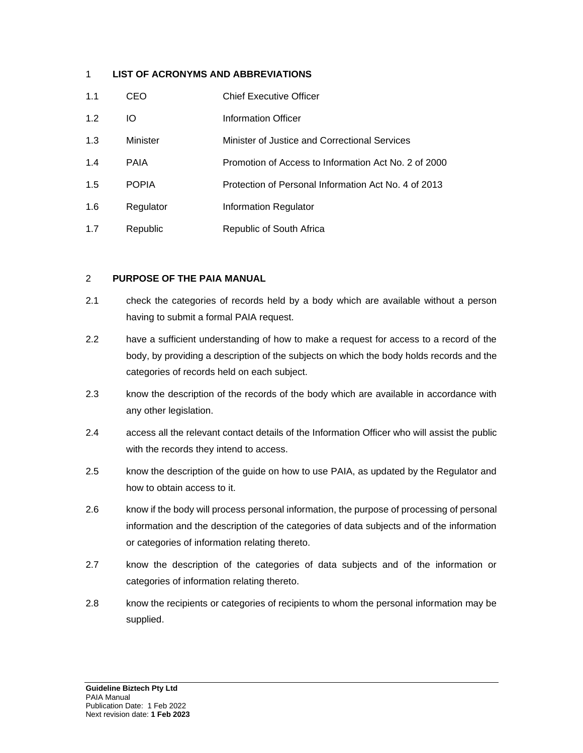## <span id="page-2-0"></span>1 **LIST OF ACRONYMS AND ABBREVIATIONS**

| 1.1 | CEO          | <b>Chief Executive Officer</b>                       |
|-----|--------------|------------------------------------------------------|
| 1.2 | IО           | Information Officer                                  |
| 1.3 | Minister     | Minister of Justice and Correctional Services        |
| 1.4 | <b>PAIA</b>  | Promotion of Access to Information Act No. 2 of 2000 |
| 1.5 | <b>POPIA</b> | Protection of Personal Information Act No. 4 of 2013 |
| 1.6 | Regulator    | Information Regulator                                |
| 1.7 | Republic     | Republic of South Africa                             |

## <span id="page-2-1"></span>2 **PURPOSE OF THE PAIA MANUAL**

- 2.1 check the categories of records held by a body which are available without a person having to submit a formal PAIA request.
- 2.2 have a sufficient understanding of how to make a request for access to a record of the body, by providing a description of the subjects on which the body holds records and the categories of records held on each subject.
- 2.3 know the description of the records of the body which are available in accordance with any other legislation.
- 2.4 access all the relevant contact details of the Information Officer who will assist the public with the records they intend to access.
- 2.5 know the description of the guide on how to use PAIA, as updated by the Regulator and how to obtain access to it.
- 2.6 know if the body will process personal information, the purpose of processing of personal information and the description of the categories of data subjects and of the information or categories of information relating thereto.
- 2.7 know the description of the categories of data subjects and of the information or categories of information relating thereto.
- 2.8 know the recipients or categories of recipients to whom the personal information may be supplied.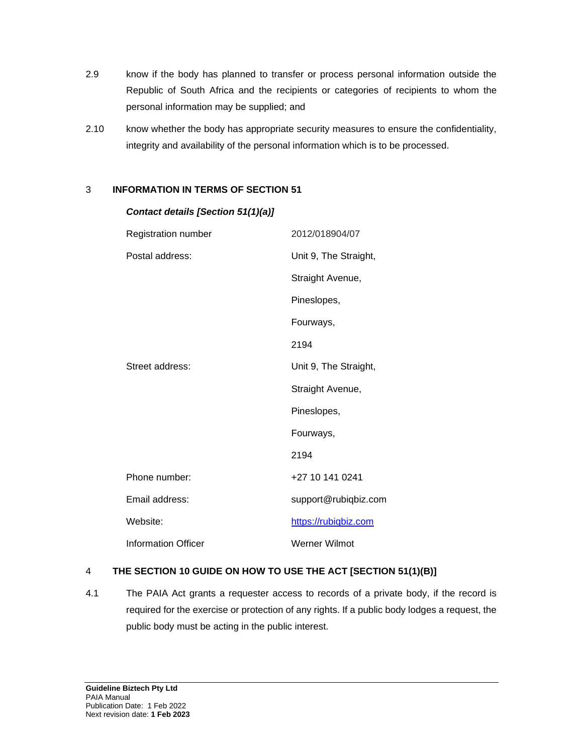- 2.9 know if the body has planned to transfer or process personal information outside the Republic of South Africa and the recipients or categories of recipients to whom the personal information may be supplied; and
- 2.10 know whether the body has appropriate security measures to ensure the confidentiality, integrity and availability of the personal information which is to be processed.

## <span id="page-3-0"></span>3 **INFORMATION IN TERMS OF SECTION 51**

| Registration number        | 2012/018904/07        |
|----------------------------|-----------------------|
| Postal address:            | Unit 9, The Straight, |
|                            | Straight Avenue,      |
|                            | Pineslopes,           |
|                            | Fourways,             |
|                            | 2194                  |
| Street address:            | Unit 9, The Straight, |
|                            | Straight Avenue,      |
|                            | Pineslopes,           |
|                            | Fourways,             |
|                            | 2194                  |
| Phone number:              | +27 10 141 0241       |
| Email address:             | support@rubiqbiz.com  |
| Website:                   | https://rubiqbiz.com  |
| <b>Information Officer</b> | Werner Wilmot         |

### *Contact details [Section 51(1)(a)]*

## <span id="page-3-1"></span>4 **THE SECTION 10 GUIDE ON HOW TO USE THE ACT [SECTION 51(1)(B)]**

4.1 The PAIA Act grants a requester access to records of a private body, if the record is required for the exercise or protection of any rights. If a public body lodges a request, the public body must be acting in the public interest.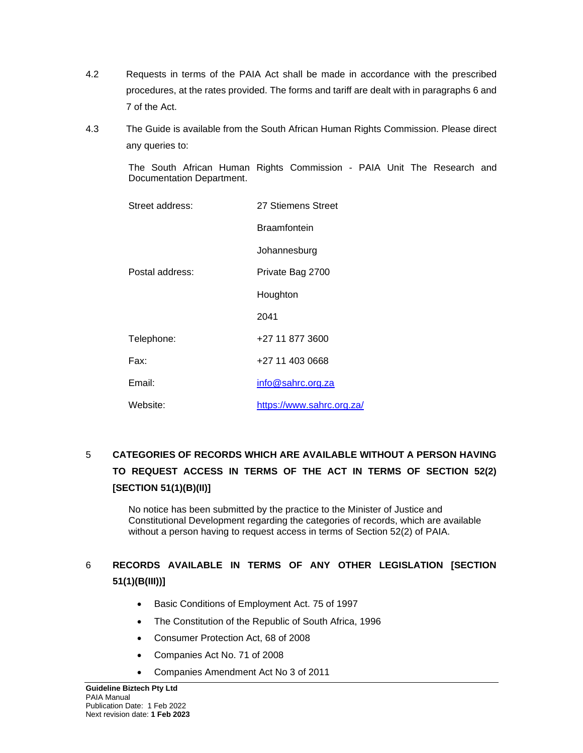- 4.2 Requests in terms of the PAIA Act shall be made in accordance with the prescribed procedures, at the rates provided. The forms and tariff are dealt with in paragraphs 6 and 7 of the Act.
- 4.3 The Guide is available from the South African Human Rights Commission. Please direct any queries to:

The South African Human Rights Commission - PAIA Unit The Research and Documentation Department.

| Street address: | 27 Stiemens Street        |  |  |  |  |
|-----------------|---------------------------|--|--|--|--|
|                 | Braamfontein              |  |  |  |  |
|                 | Johannesburg              |  |  |  |  |
| Postal address: | Private Bag 2700          |  |  |  |  |
|                 | Houghton                  |  |  |  |  |
|                 | 2041                      |  |  |  |  |
| Telephone:      | +27 11 877 3600           |  |  |  |  |
| Fax:            | +27 11 403 0668           |  |  |  |  |
| Email:          | info@sahrc.org.za         |  |  |  |  |
| Website:        | https://www.sahrc.org.za/ |  |  |  |  |

# <span id="page-4-0"></span>5 **CATEGORIES OF RECORDS WHICH ARE AVAILABLE WITHOUT A PERSON HAVING TO REQUEST ACCESS IN TERMS OF THE ACT IN TERMS OF SECTION 52(2) [SECTION 51(1)(B)(II)]**

No notice has been submitted by the practice to the Minister of Justice and Constitutional Development regarding the categories of records, which are available without a person having to request access in terms of Section 52(2) of PAIA.

## <span id="page-4-1"></span>6 **RECORDS AVAILABLE IN TERMS OF ANY OTHER LEGISLATION [SECTION 51(1)(B(III))]**

- Basic Conditions of Employment Act. 75 of 1997
- The Constitution of the Republic of South Africa, 1996
- Consumer Protection Act, 68 of 2008
- Companies Act No. 71 of 2008
- Companies Amendment Act No 3 of 2011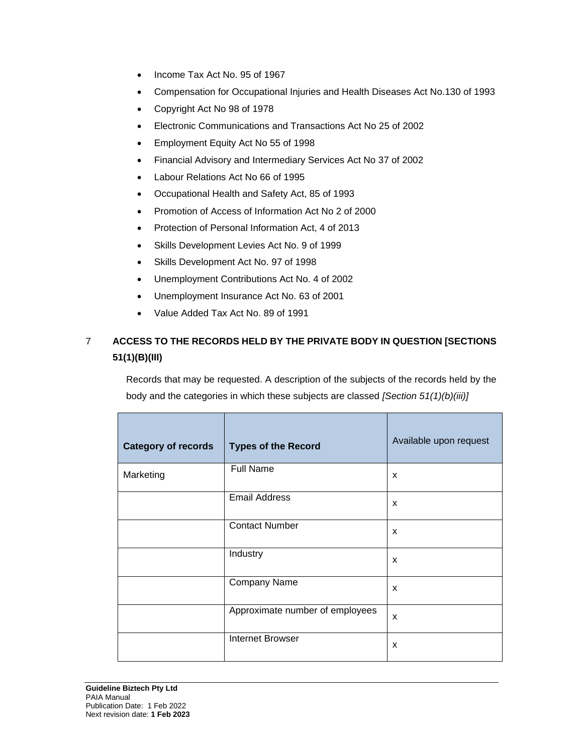- Income Tax Act No. 95 of 1967
- Compensation for Occupational Injuries and Health Diseases Act No.130 of 1993
- Copyright Act No 98 of 1978
- Electronic Communications and Transactions Act No 25 of 2002
- Employment Equity Act No 55 of 1998
- Financial Advisory and Intermediary Services Act No 37 of 2002
- Labour Relations Act No 66 of 1995
- Occupational Health and Safety Act, 85 of 1993
- Promotion of Access of Information Act No 2 of 2000
- Protection of Personal Information Act, 4 of 2013
- Skills Development Levies Act No. 9 of 1999
- Skills Development Act No. 97 of 1998
- Unemployment Contributions Act No. 4 of 2002
- Unemployment Insurance Act No. 63 of 2001
- Value Added Tax Act No. 89 of 1991

## <span id="page-5-0"></span>7 **ACCESS TO THE RECORDS HELD BY THE PRIVATE BODY IN QUESTION [SECTIONS 51(1)(B)(III)**

Records that may be requested. A description of the subjects of the records held by the body and the categories in which these subjects are classed *[Section 51(1)(b)(iii)]*

| <b>Category of records</b> | <b>Types of the Record</b>      | Available upon request    |
|----------------------------|---------------------------------|---------------------------|
| Marketing                  | <b>Full Name</b>                | X                         |
|                            | <b>Email Address</b>            | $\boldsymbol{\mathsf{x}}$ |
|                            | <b>Contact Number</b>           | $\boldsymbol{\mathsf{x}}$ |
|                            | Industry                        | X                         |
|                            | Company Name                    | $\boldsymbol{\mathsf{x}}$ |
|                            | Approximate number of employees | $\boldsymbol{\mathsf{x}}$ |
|                            | <b>Internet Browser</b>         | X                         |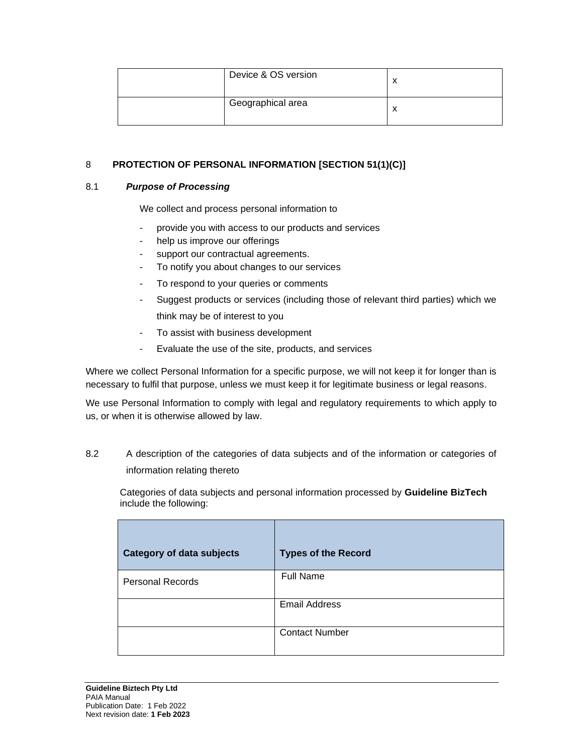| Device & OS version |  |
|---------------------|--|
| Geographical area   |  |

## <span id="page-6-0"></span>8 **PROTECTION OF PERSONAL INFORMATION [SECTION 51(1)(C)]**

#### 8.1 *Purpose of Processing*

We collect and process personal information to

- provide you with access to our products and services
- help us improve our offerings
- support our contractual agreements.
- To notify you about changes to our services
- To respond to your queries or comments
- Suggest products or services (including those of relevant third parties) which we think may be of interest to you
- To assist with business development
- Evaluate the use of the site, products, and services

Where we collect Personal Information for a specific purpose, we will not keep it for longer than is necessary to fulfil that purpose, unless we must keep it for legitimate business or legal reasons.

We use Personal Information to comply with legal and regulatory requirements to which apply to us, or when it is otherwise allowed by law.

8.2 A description of the categories of data subjects and of the information or categories of information relating thereto

Categories of data subjects and personal information processed by **Guideline BizTech** include the following:

| <b>Category of data subjects</b> | <b>Types of the Record</b> |
|----------------------------------|----------------------------|
| <b>Personal Records</b>          | <b>Full Name</b>           |
|                                  | <b>Email Address</b>       |
|                                  | <b>Contact Number</b>      |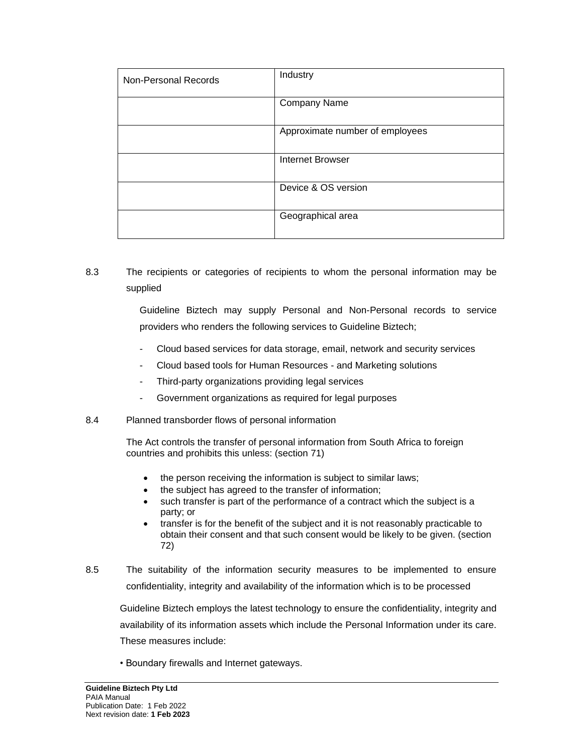| Non-Personal Records | Industry                        |
|----------------------|---------------------------------|
|                      | Company Name                    |
|                      | Approximate number of employees |
|                      | <b>Internet Browser</b>         |
|                      | Device & OS version             |
|                      | Geographical area               |

## 8.3 The recipients or categories of recipients to whom the personal information may be supplied

Guideline Biztech may supply Personal and Non-Personal records to service providers who renders the following services to Guideline Biztech;

- Cloud based services for data storage, email, network and security services
- Cloud based tools for Human Resources and Marketing solutions
- Third-party organizations providing legal services
- Government organizations as required for legal purposes

### 8.4 Planned transborder flows of personal information

The Act controls the transfer of personal information from South Africa to foreign countries and prohibits this unless: (section 71)

- the person receiving the information is subject to similar laws;
- the subject has agreed to the transfer of information;
- such transfer is part of the performance of a contract which the subject is a party; or
- transfer is for the benefit of the subject and it is not reasonably practicable to obtain their consent and that such consent would be likely to be given. (section 72)
- 8.5 The suitability of the information security measures to be implemented to ensure confidentiality, integrity and availability of the information which is to be processed

Guideline Biztech employs the latest technology to ensure the confidentiality, integrity and availability of its information assets which include the Personal Information under its care. These measures include:

• Boundary firewalls and Internet gateways.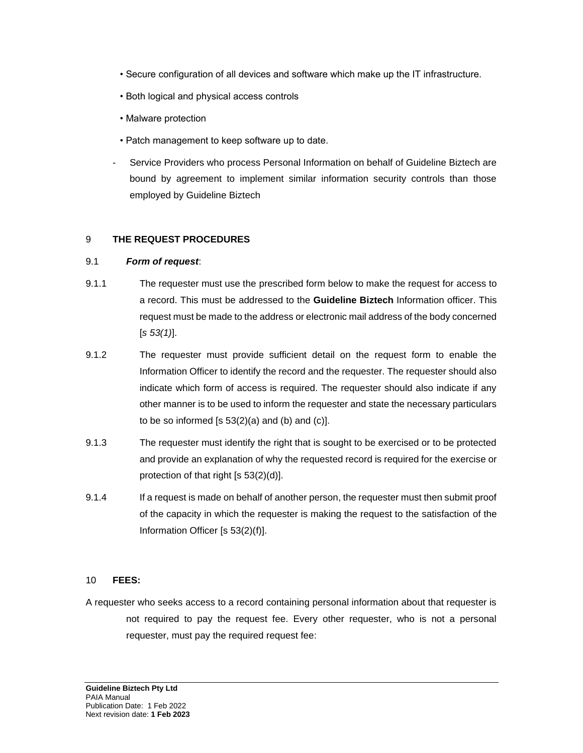- Secure configuration of all devices and software which make up the IT infrastructure.
- Both logical and physical access controls
- Malware protection
- Patch management to keep software up to date.
- Service Providers who process Personal Information on behalf of Guideline Biztech are bound by agreement to implement similar information security controls than those employed by Guideline Biztech

#### <span id="page-8-0"></span>9 **THE REQUEST PROCEDURES**

#### 9.1 *Form of request*:

- 9.1.1 The requester must use the prescribed form below to make the request for access to a record. This must be addressed to the **Guideline Biztech** Information officer. This request must be made to the address or electronic mail address of the body concerned [*s 53(1)*].
- 9.1.2 The requester must provide sufficient detail on the request form to enable the Information Officer to identify the record and the requester. The requester should also indicate which form of access is required. The requester should also indicate if any other manner is to be used to inform the requester and state the necessary particulars to be so informed [s  $53(2)(a)$  and (b) and (c)].
- 9.1.3 The requester must identify the right that is sought to be exercised or to be protected and provide an explanation of why the requested record is required for the exercise or protection of that right [s 53(2)(d)].
- 9.1.4 If a request is made on behalf of another person, the requester must then submit proof of the capacity in which the requester is making the request to the satisfaction of the Information Officer [s 53(2)(f)].

### <span id="page-8-1"></span>10 **FEES:**

A requester who seeks access to a record containing personal information about that requester is not required to pay the request fee. Every other requester, who is not a personal requester, must pay the required request fee: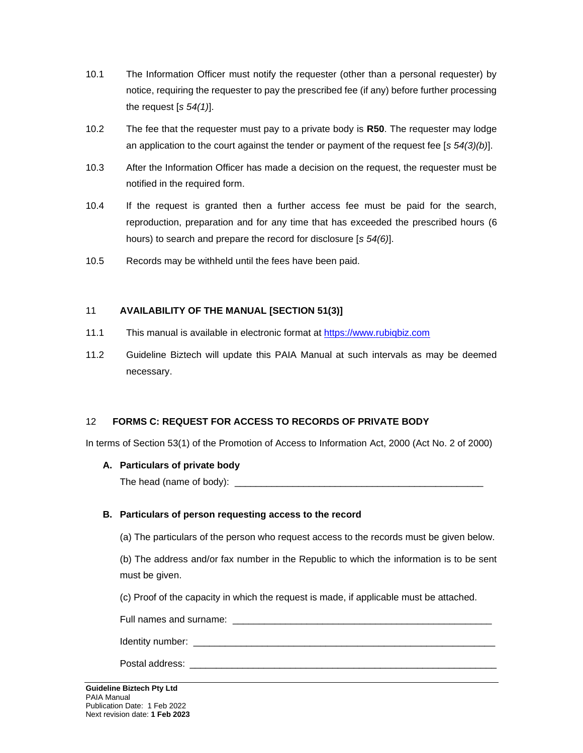- 10.1 The Information Officer must notify the requester (other than a personal requester) by notice, requiring the requester to pay the prescribed fee (if any) before further processing the request [*s 54(1)*].
- 10.2 The fee that the requester must pay to a private body is **R50**. The requester may lodge an application to the court against the tender or payment of the request fee [*s 54(3)(b)*].
- 10.3 After the Information Officer has made a decision on the request, the requester must be notified in the required form.
- 10.4 If the request is granted then a further access fee must be paid for the search, reproduction, preparation and for any time that has exceeded the prescribed hours (6 hours) to search and prepare the record for disclosure [*s 54(6)*].
- 10.5 Records may be withheld until the fees have been paid.

## <span id="page-9-0"></span>11 **AVAILABILITY OF THE MANUAL [SECTION 51(3)]**

- 11.1 This manual is available in electronic format at [https://www.rubiqbiz.com](https://www.rubiqbiz.com/)
- 11.2 Guideline Biztech will update this PAIA Manual at such intervals as may be deemed necessary.

### <span id="page-9-1"></span>12 **FORMS C: REQUEST FOR ACCESS TO RECORDS OF PRIVATE BODY**

In terms of Section 53(1) of the Promotion of Access to Information Act, 2000 (Act No. 2 of 2000)

### **A. Particulars of private body**

The head (name of body): \_\_\_\_\_\_\_\_\_\_\_\_\_\_\_\_\_\_\_\_\_\_\_\_\_\_\_\_\_\_\_\_\_\_\_\_\_\_\_\_\_\_\_\_\_\_\_

### **B. Particulars of person requesting access to the record**

(a) The particulars of the person who request access to the records must be given below.

(b) The address and/or fax number in the Republic to which the information is to be sent must be given.

(c) Proof of the capacity in which the request is made, if applicable must be attached.

Full names and surname: \_\_\_\_\_\_\_\_\_\_\_\_\_\_\_\_\_\_\_\_\_\_\_\_\_\_\_\_\_\_\_\_\_\_\_\_\_\_\_\_\_\_\_\_\_\_\_\_\_

Identity number: \_\_\_\_\_\_\_\_\_\_\_\_\_\_\_\_\_\_\_\_\_\_\_\_\_\_\_\_\_\_\_\_\_\_\_\_\_\_\_\_\_\_\_\_\_\_\_\_\_\_\_\_\_\_\_\_\_

Postal address: